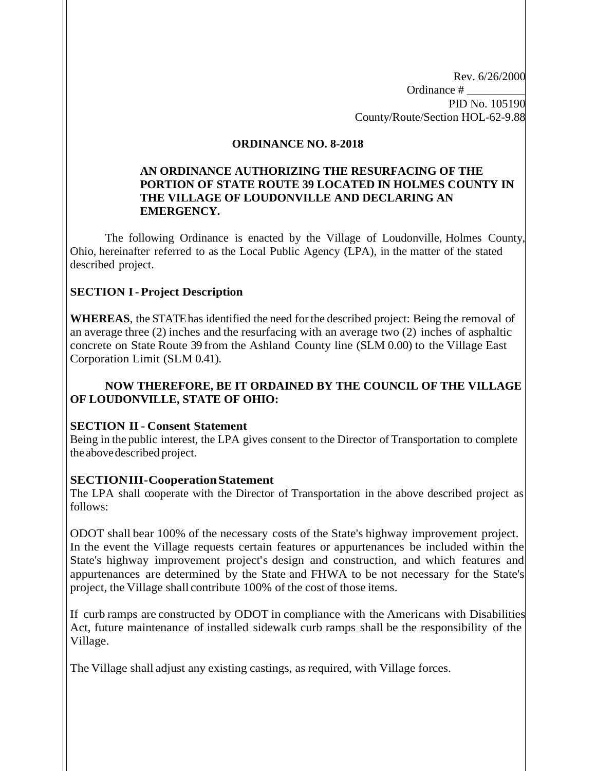Rev. 6/26/2000 Ordinance # \_\_\_\_\_\_\_\_\_\_ PID No. 105190 County/Route/Section HOL-62-9.88

#### **ORDINANCE NO. 8-2018**

### **AN ORDINANCE AUTHORIZING THE RESURFACING OF THE PORTION OF STATE ROUTE 39 LOCATED IN HOLMES COUNTY IN THE VILLAGE OF LOUDONVILLE AND DECLARING AN EMERGENCY.**

The following Ordinance is enacted by the Village of Loudonville, Holmes County, Ohio, hereinafter referred to as the Local Public Agency (LPA), in the matter of the stated described project.

## **SECTION I-Project Description**

**WHEREAS**, the STATEhas identified the need for the described project: Being the removal of an average three (2) inches and the resurfacing with an average two (2) inches of asphaltic concrete on State Route 39 from the Ashland County line (SLM 0.00) to the Village East Corporation Limit (SLM 0.41).

## **NOW THEREFORE, BE IT ORDAINED BY THE COUNCIL OF THE VILLAGE OF LOUDONVILLE, STATE OF OHIO:**

## **SECTION II- Consent Statement**

Being in the public interest, the LPA gives consent to the Director of Transportation to complete the abovedescribed project.

## **SECTIONIII-CooperationStatement**

The LPA shall cooperate with the Director of Transportation in the above described project as follows:

ODOT shall bear 100% of the necessary costs of the State's highway improvement project. In the event the Village requests certain features or appurtenances be included within the State's highway improvement project's design and construction, and which features and appurtenances are determined by the State and FHWA to be not necessary for the State's project, the Village shall contribute 100% of the cost of those items.

If curb ramps are constructed by ODOT in compliance with the Americans with Disabilities Act, future maintenance of installed sidewalk curb ramps shall be the responsibility of the Village.

The Village shall adjust any existing castings, as required, with Village forces.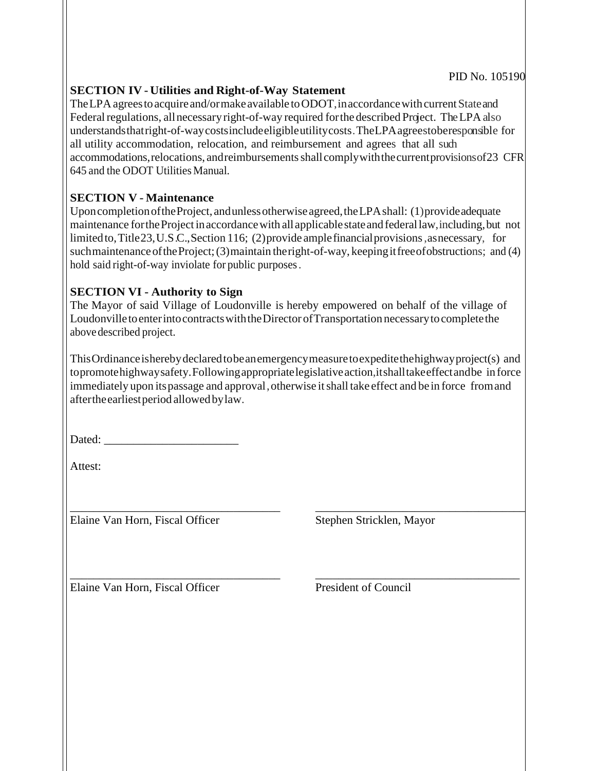## **SECTION IV - Utilities and Right-of-Way Statement**

The LPA agrees to acquire and/ormake available to ODOT, in accordance with current State and Federal regulations, all necessary right-of-way required for the described Project. The LPA also understandsthatright-of-waycostsincludeeligibleutilitycosts.TheLPAagreestoberesponsible for all utility accommodation, relocation, and reimbursement and agrees that all such accommodations, relocations, and reimbursements shall comply with the current provisions of 23 CFR 645 and the ODOT Utilities Manual.

# **SECTION V - Maintenance**

Upon completion of the Project, and unless otherwise agreed, the LPA shall: (1) provide adequate maintenance for the Project in accordance with all applicable state and federal law, including, but not limited to, Title 23, U.S.C., Section 116; (2) provide ample financial provisions, as necessary, for suchmaintenance of the Project; (3) maintain the right-of-way, keeping it free of obstructions; and (4) hold said right-of-way inviolate for public purposes.

# **SECTION VI - Authority to Sign**

The Mayor of said Village of Loudonville is hereby empowered on behalf of the village of Loudonville to enter into contracts with the Director of Transportation necessary to complete the abovedescribed project.

ThisOrdinanceisherebydeclaredtobeanemergencymeasuretoexpeditethehighwayproject(s) and topromotehighwaysafety.Followingappropriatelegislativeaction,itshalltakeeffectandbe in force immediately upon its passage and approval, otherwise it shall take effect and be in force from and aftertheearliestperiod allowedbylaw.

\_\_\_\_\_\_\_\_\_\_\_\_\_\_\_\_\_\_\_\_\_\_\_\_\_\_\_\_\_\_\_\_\_\_\_\_ \_\_\_\_\_\_\_\_\_\_\_\_\_\_\_\_\_\_\_\_\_\_\_\_\_\_\_\_\_\_\_\_\_\_\_\_

\_\_\_\_\_\_\_\_\_\_\_\_\_\_\_\_\_\_\_\_\_\_\_\_\_\_\_\_\_\_\_\_\_\_\_\_ \_\_\_\_\_\_\_\_\_\_\_\_\_\_\_\_\_\_\_\_\_\_\_\_\_\_\_\_\_\_\_\_\_\_\_

Dated:

Attest:

Elaine Van Horn, Fiscal Officer Stephen Stricklen, Mayor

Elaine Van Horn, Fiscal Officer President of Council